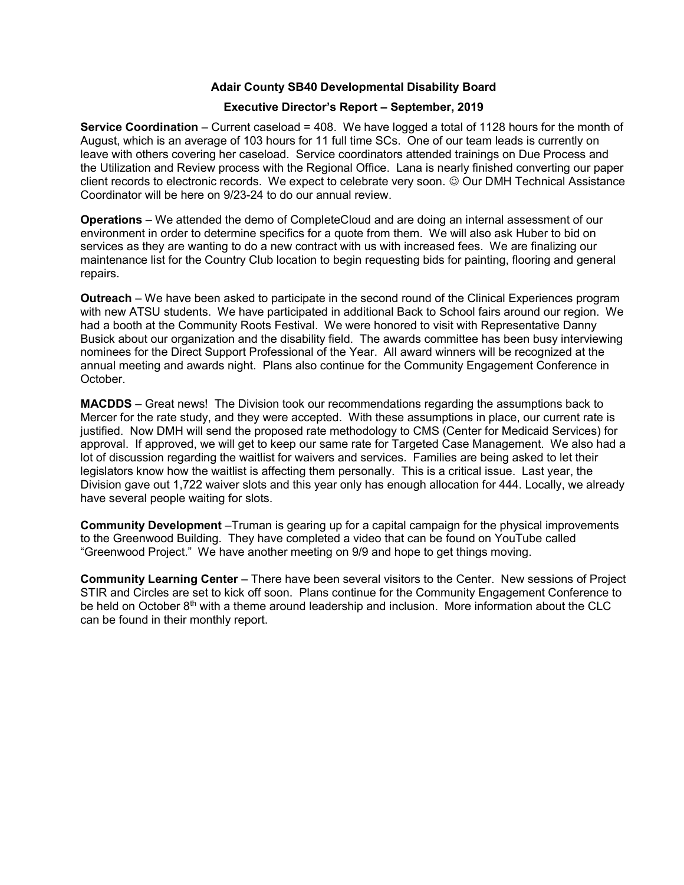## Adair County SB40 Developmental Disability Board

## Executive Director's Report – September, 2019

Service Coordination – Current caseload = 408. We have logged a total of 1128 hours for the month of August, which is an average of 103 hours for 11 full time SCs. One of our team leads is currently on leave with others covering her caseload. Service coordinators attended trainings on Due Process and the Utilization and Review process with the Regional Office. Lana is nearly finished converting our paper client records to electronic records. We expect to celebrate very soon. © Our DMH Technical Assistance Coordinator will be here on 9/23-24 to do our annual review.

Operations – We attended the demo of CompleteCloud and are doing an internal assessment of our environment in order to determine specifics for a quote from them. We will also ask Huber to bid on services as they are wanting to do a new contract with us with increased fees. We are finalizing our maintenance list for the Country Club location to begin requesting bids for painting, flooring and general repairs.

Outreach – We have been asked to participate in the second round of the Clinical Experiences program with new ATSU students. We have participated in additional Back to School fairs around our region. We had a booth at the Community Roots Festival. We were honored to visit with Representative Danny Busick about our organization and the disability field. The awards committee has been busy interviewing nominees for the Direct Support Professional of the Year. All award winners will be recognized at the annual meeting and awards night. Plans also continue for the Community Engagement Conference in October.

MACDDS – Great news! The Division took our recommendations regarding the assumptions back to Mercer for the rate study, and they were accepted. With these assumptions in place, our current rate is justified. Now DMH will send the proposed rate methodology to CMS (Center for Medicaid Services) for approval. If approved, we will get to keep our same rate for Targeted Case Management. We also had a lot of discussion regarding the waitlist for waivers and services. Families are being asked to let their legislators know how the waitlist is affecting them personally. This is a critical issue. Last year, the Division gave out 1,722 waiver slots and this year only has enough allocation for 444. Locally, we already have several people waiting for slots.

Community Development –Truman is gearing up for a capital campaign for the physical improvements to the Greenwood Building. They have completed a video that can be found on YouTube called "Greenwood Project." We have another meeting on 9/9 and hope to get things moving.

Community Learning Center – There have been several visitors to the Center. New sessions of Project STIR and Circles are set to kick off soon. Plans continue for the Community Engagement Conference to be held on October  $8<sup>th</sup>$  with a theme around leadership and inclusion. More information about the CLC can be found in their monthly report.